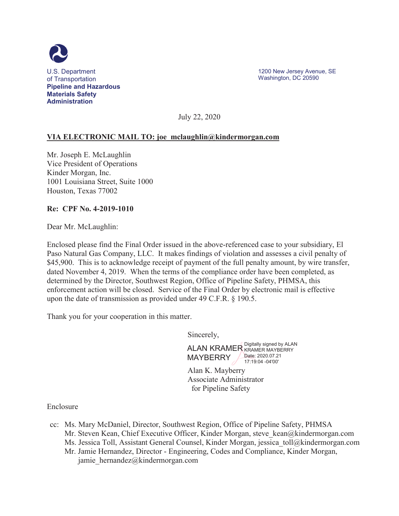

1200 New Jersey Avenue, SE Washington, DC 20590

July 22, 2020

### **VIA ELECTRONIC MAIL TO: joe\_mclaughlin@kindermorgan.com**

Mr. Joseph E. McLaughlin Vice President of Operations Kinder Morgan, Inc. 1001 Louisiana Street, Suite 1000 Houston, Texas 77002

#### **Re: CPF No. 4-2019-1010**

Dear Mr. McLaughlin:

Enclosed please find the Final Order issued in the above-referenced case to your subsidiary, El Paso Natural Gas Company, LLC. It makes findings of violation and assesses a civil penalty of \$45,900. This is to acknowledge receipt of payment of the full penalty amount, by wire transfer, dated November 4, 2019. When the terms of the compliance order have been completed, as determined by the Director, Southwest Region, Office of Pipeline Safety, PHMSA, this enforcement action will be closed. Service of the Final Order by electronic mail is effective upon the date of transmission as provided under 49 C.F.R. § 190.5.

Thank you for your cooperation in this matter.

Sincerely,

ALAN KRAMER Digitally signed by ALAN **MAYBERRY** KRAMER MAYBERRY Date: 2020.07.21 17:19:04 -04'00'

Alan K. Mayberry Associate Administrator for Pipeline Safety

Enclosure

- cc: Ms. Mary McDaniel, Director, Southwest Region, Office of Pipeline Safety, PHMSA Mr. Steven Kean, Chief Executive Officer, Kinder Morgan, steve kean@kindermorgan.com Ms. Jessica Toll, Assistant General Counsel, Kinder Morgan, jessica\_toll@kindermorgan.com Mr. Jamie Hernandez, Director - Engineering, Codes and Compliance, Kinder Morgan,
	- jamie\_hernandez@kindermorgan.com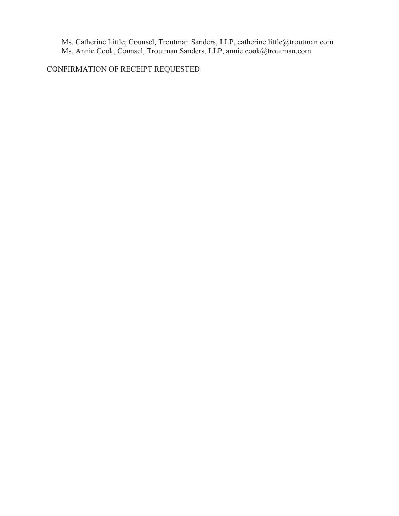Ms. Catherine Little, Counsel, Troutman Sanders, LLP, catherine.little@troutman.com Ms. Annie Cook, Counsel, Troutman Sanders, LLP, annie.cook@troutman.com

CONFIRMATION OF RECEIPT REQUESTED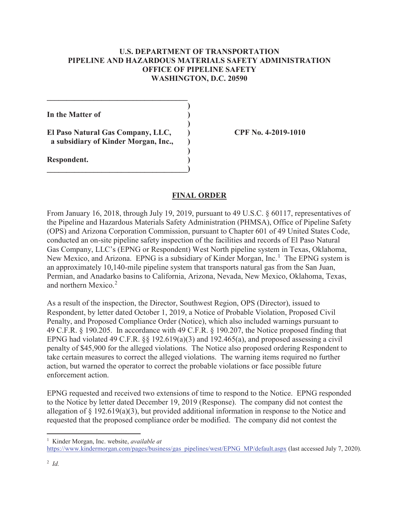### **U.S. DEPARTMENT OF TRANSPORTATION PIPELINE AND HAZARDOUS MATERIALS SAFETY ADMINISTRATION OFFICE OF PIPELINE SAFETY WASHINGTON, D.C. 20590**

**In the Matter of )** 

**El Paso Natural Gas Company, LLC, ) CPF No. 4-2019-1010 a subsidiary of Kinder Morgan, Inc., )** 

**\_\_\_\_\_\_\_\_\_\_\_\_\_\_\_\_\_\_\_\_\_\_\_\_\_\_\_\_\_\_\_\_\_\_\_\_ )** 

 **)** 

 **)** 

**\_\_\_\_\_\_\_\_\_\_\_\_\_\_\_\_\_\_\_\_\_\_\_\_\_\_\_\_\_\_\_\_\_\_\_\_)** 

**Respondent. )** 

## **FINAL ORDER**

From January 16, 2018, through July 19, 2019, pursuant to 49 U.S.C. § 60117, representatives of the Pipeline and Hazardous Materials Safety Administration (PHMSA), Office of Pipeline Safety (OPS) and Arizona Corporation Commission, pursuant to Chapter 601 of 49 United States Code, conducted an on-site pipeline safety inspection of the facilities and records of El Paso Natural Gas Company, LLC's (EPNG or Respondent) West North pipeline system in Texas, Oklahoma, New Mexico, and Arizona. EPNG is a subsidiary of Kinder Morgan, Inc.<sup>1</sup> The EPNG system is an approximately 10,140-mile pipeline system that transports natural gas from the San Juan, Permian, and Anadarko basins to California, Arizona, Nevada, New Mexico, Oklahoma, Texas, and northern Mexico.<sup>2</sup>

As a result of the inspection, the Director, Southwest Region, OPS (Director), issued to Respondent, by letter dated October 1, 2019, a Notice of Probable Violation, Proposed Civil Penalty, and Proposed Compliance Order (Notice), which also included warnings pursuant to 49 C.F.R. § 190.205. In accordance with 49 C.F.R. § 190.207, the Notice proposed finding that EPNG had violated 49 C.F.R.  $\S$  192.619(a)(3) and 192.465(a), and proposed assessing a civil penalty of \$45,900 for the alleged violations. The Notice also proposed ordering Respondent to take certain measures to correct the alleged violations. The warning items required no further action, but warned the operator to correct the probable violations or face possible future enforcement action.

EPNG requested and received two extensions of time to respond to the Notice. EPNG responded to the Notice by letter dated December 19, 2019 (Response). The company did not contest the allegation of § 192.619(a)(3), but provided additional information in response to the Notice and requested that the proposed compliance order be modified. The company did not contest the

 $\overline{a}$ 

<sup>1</sup> Kinder Morgan, Inc. website, *available at*

https://www.kindermorgan.com/pages/business/gas\_pipelines/west/EPNG\_MP/default.aspx (last accessed July 7, 2020).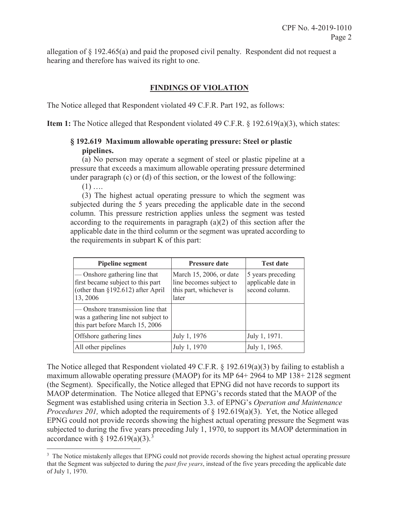allegation of § 192.465(a) and paid the proposed civil penalty. Respondent did not request a hearing and therefore has waived its right to one.

## **FINDINGS OF VIOLATION**

The Notice alleged that Respondent violated 49 C.F.R. Part 192, as follows:

**Item 1:** The Notice alleged that Respondent violated 49 C.F.R. § 192.619(a)(3), which states:

## **§ 192.619 Maximum allowable operating pressure: Steel or plastic pipelines.**

(a) No person may operate a segment of steel or plastic pipeline at a pressure that exceeds a maximum allowable operating pressure determined under paragraph (c) or (d) of this section, or the lowest of the following:

 $(1)$  ....

 $\overline{a}$ 

(3) The highest actual operating pressure to which the segment was subjected during the 5 years preceding the applicable date in the second column. This pressure restriction applies unless the segment was tested according to the requirements in paragraph (a)(2) of this section after the applicable date in the third column or the segment was uprated according to the requirements in subpart K of this part:

| <b>Pipeline segment</b>                                                                                             | <b>Pressure date</b>                                                                   | <b>Test date</b>                                          |
|---------------------------------------------------------------------------------------------------------------------|----------------------------------------------------------------------------------------|-----------------------------------------------------------|
| - Onshore gathering line that<br>first became subject to this part<br>(other than §192.612) after April<br>13, 2006 | March 15, 2006, or date<br>line becomes subject to<br>this part, whichever is<br>later | 5 years preceding<br>applicable date in<br>second column. |
| - Onshore transmission line that<br>was a gathering line not subject to<br>this part before March 15, 2006          |                                                                                        |                                                           |
| Offshore gathering lines                                                                                            | July 1, 1976                                                                           | July 1, 1971.                                             |
| All other pipelines                                                                                                 | July 1, 1970                                                                           | July 1, 1965.                                             |

The Notice alleged that Respondent violated 49 C.F.R. § 192.619(a)(3) by failing to establish a maximum allowable operating pressure (MAOP) for its MP 64+ 2964 to MP 138+ 2128 segment (the Segment). Specifically, the Notice alleged that EPNG did not have records to support its MAOP determination. The Notice alleged that EPNG's records stated that the MAOP of the Segment was established using criteria in Section 3.3. of EPNG's *Operation and Maintenance Procedures 201*, which adopted the requirements of § 192.619(a)(3). Yet, the Notice alleged EPNG could not provide records showing the highest actual operating pressure the Segment was subjected to during the five years preceding July 1, 1970, to support its MAOP determination in accordance with § 192.619(a)(3).<sup>3</sup>

<sup>&</sup>lt;sup>3</sup> The Notice mistakenly alleges that EPNG could not provide records showing the highest actual operating pressure that the Segment was subjected to during the *past five years*, instead of the five years preceding the applicable date of July 1, 1970.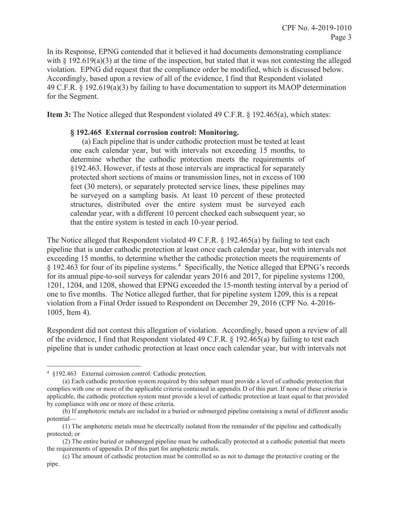In its Response, EPNG contended that it believed it had documents demonstrating compliance with  $\S$  192.619(a)(3) at the time of the inspection, but stated that it was not contesting the alleged violation. EPNG did request that the compliance order be modified, which is discussed below. Accordingly, based upon a review of all of the evidence, I find that Respondent violated 49 C.F.R. § 192.619(a)(3) by failing to have documentation to support its MAOP determination for the Segment.

**Item 3:** The Notice alleged that Respondent violated 49 C.F.R. § 192.465(a), which states:

#### **§ 192.465 External corrosion control: Monitoring.**

(a) Each pipeline that is under cathodic protection must be tested at least one each calendar year, but with intervals not exceeding 15 months, to determine whether the cathodic protection meets the requirements of §192.463. However, if tests at those intervals are impractical for separately protected short sections of mains or transmission lines, not in excess of 100 feet (30 meters), or separately protected service lines, these pipelines may be surveyed on a sampling basis. At least 10 percent of these protected structures, distributed over the entire system must be surveyed each calendar year, with a different 10 percent checked each subsequent year, so that the entire system is tested in each 10-year period.

The Notice alleged that Respondent violated 49 C.F.R. § 192.465(a) by failing to test each pipeline that is under cathodic protection at least once each calendar year, but with intervals not exceeding 15 months, to determine whether the cathodic protection meets the requirements of § 192.463 for four of its pipeline systems.<sup>4</sup> Specifically, the Notice alleged that EPNG's records for its annual pipe-to-soil surveys for calendar years 2016 and 2017, for pipeline systems 1200, 1201, 1204, and 1208, showed that EPNG exceeded the 15-month testing interval by a period of one to five months. The Notice alleged further, that for pipeline system 1209, this is a repeat violation from a Final Order issued to Respondent on December 29, 2016 (CPF No. 4-2016- 1005, Item 4).

Respondent did not contest this allegation of violation. Accordingly, based upon a review of all of the evidence, I find that Respondent violated 49 C.F.R. § 192.465(a) by failing to test each pipeline that is under cathodic protection at least once each calendar year, but with intervals not

 $\overline{a}$ 4 §192.463 External corrosion control: Cathodic protection.

<sup>(</sup>a) Each cathodic protection system required by this subpart must provide a level of cathodic protection that complies with one or more of the applicable criteria contained in appendix D of this part. If none of these criteria is applicable, the cathodic protection system must provide a level of cathodic protection at least equal to that provided by compliance with one or more of these criteria.

<sup>(</sup>b) If amphoteric metals are included in a buried or submerged pipeline containing a metal of different anodic potential—

<sup>(1)</sup> The amphoteric metals must be electrically isolated from the remainder of the pipeline and cathodically protected; or

<sup>(2)</sup> The entire buried or submerged pipeline must be cathodically protected at a cathodic potential that meets the requirements of appendix D of this part for amphoteric metals.

<sup>(</sup>c) The amount of cathodic protection must be controlled so as not to damage the protective coating or the pipe.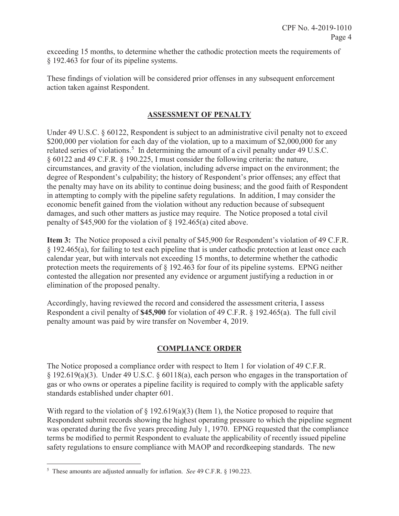exceeding 15 months, to determine whether the cathodic protection meets the requirements of § 192.463 for four of its pipeline systems.

These findings of violation will be considered prior offenses in any subsequent enforcement action taken against Respondent.

# **ASSESSMENT OF PENALTY**

Under 49 U.S.C. § 60122, Respondent is subject to an administrative civil penalty not to exceed \$200,000 per violation for each day of the violation, up to a maximum of \$2,000,000 for any related series of violations.<sup>5</sup> In determining the amount of a civil penalty under 49 U.S.C. § 60122 and 49 C.F.R. § 190.225, I must consider the following criteria: the nature, circumstances, and gravity of the violation, including adverse impact on the environment; the degree of Respondent's culpability; the history of Respondent's prior offenses; any effect that the penalty may have on its ability to continue doing business; and the good faith of Respondent in attempting to comply with the pipeline safety regulations. In addition, I may consider the economic benefit gained from the violation without any reduction because of subsequent damages, and such other matters as justice may require. The Notice proposed a total civil penalty of \$45,900 for the violation of § 192.465(a) cited above.

**Item 3:** The Notice proposed a civil penalty of \$45,900 for Respondent's violation of 49 C.F.R. § 192.465(a), for failing to test each pipeline that is under cathodic protection at least once each calendar year, but with intervals not exceeding 15 months, to determine whether the cathodic protection meets the requirements of § 192.463 for four of its pipeline systems. EPNG neither contested the allegation nor presented any evidence or argument justifying a reduction in or elimination of the proposed penalty.

Accordingly, having reviewed the record and considered the assessment criteria, I assess Respondent a civil penalty of **\$45,900** for violation of 49 C.F.R. § 192.465(a). The full civil penalty amount was paid by wire transfer on November 4, 2019.

# **COMPLIANCE ORDER**

The Notice proposed a compliance order with respect to Item 1 for violation of 49 C.F.R. § 192.619(a)(3). Under 49 U.S.C. § 60118(a), each person who engages in the transportation of gas or who owns or operates a pipeline facility is required to comply with the applicable safety standards established under chapter 601.

With regard to the violation of  $\S 192.619(a)(3)$  (Item 1), the Notice proposed to require that Respondent submit records showing the highest operating pressure to which the pipeline segment was operated during the five years preceding July 1, 1970. EPNG requested that the compliance terms be modified to permit Respondent to evaluate the applicability of recently issued pipeline safety regulations to ensure compliance with MAOP and recordkeeping standards. The new

 $\overline{a}$ 

<sup>5</sup> These amounts are adjusted annually for inflation. *See* 49 C.F.R. § 190.223.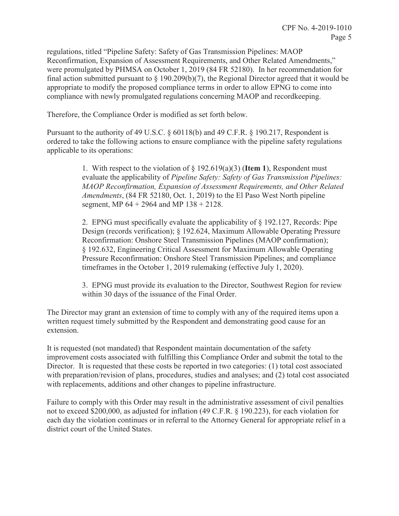regulations, titled "Pipeline Safety: Safety of Gas Transmission Pipelines: MAOP Reconfirmation, Expansion of Assessment Requirements, and Other Related Amendments," were promulgated by PHMSA on October 1, 2019 (84 FR 52180). In her recommendation for final action submitted pursuant to  $\S$  190.209(b)(7), the Regional Director agreed that it would be appropriate to modify the proposed compliance terms in order to allow EPNG to come into compliance with newly promulgated regulations concerning MAOP and recordkeeping.

Therefore, the Compliance Order is modified as set forth below.

Pursuant to the authority of 49 U.S.C. § 60118(b) and 49 C.F.R. § 190.217, Respondent is ordered to take the following actions to ensure compliance with the pipeline safety regulations applicable to its operations:

> 1. With respect to the violation of § 192.619(a)(3) (**Item 1**), Respondent must evaluate the applicability of *Pipeline Safety: Safety of Gas Transmission Pipelines: MAOP Reconfirmation, Expansion of Assessment Requirements, and Other Related Amendments*, (84 FR 52180, Oct. 1, 2019) to the El Paso West North pipeline segment, MP 64 + 2964 and MP 138 + 2128.

2. EPNG must specifically evaluate the applicability of § 192.127, Records: Pipe Design (records verification); § 192.624, Maximum Allowable Operating Pressure Reconfirmation: Onshore Steel Transmission Pipelines (MAOP confirmation); § 192.632, Engineering Critical Assessment for Maximum Allowable Operating Pressure Reconfirmation: Onshore Steel Transmission Pipelines; and compliance timeframes in the October 1, 2019 rulemaking (effective July 1, 2020).

3. EPNG must provide its evaluation to the Director, Southwest Region for review within 30 days of the issuance of the Final Order.

The Director may grant an extension of time to comply with any of the required items upon a written request timely submitted by the Respondent and demonstrating good cause for an extension.

It is requested (not mandated) that Respondent maintain documentation of the safety improvement costs associated with fulfilling this Compliance Order and submit the total to the Director. It is requested that these costs be reported in two categories: (1) total cost associated with preparation/revision of plans, procedures, studies and analyses; and (2) total cost associated with replacements, additions and other changes to pipeline infrastructure.

Failure to comply with this Order may result in the administrative assessment of civil penalties not to exceed \$200,000, as adjusted for inflation (49 C.F.R. § 190.223), for each violation for each day the violation continues or in referral to the Attorney General for appropriate relief in a district court of the United States.